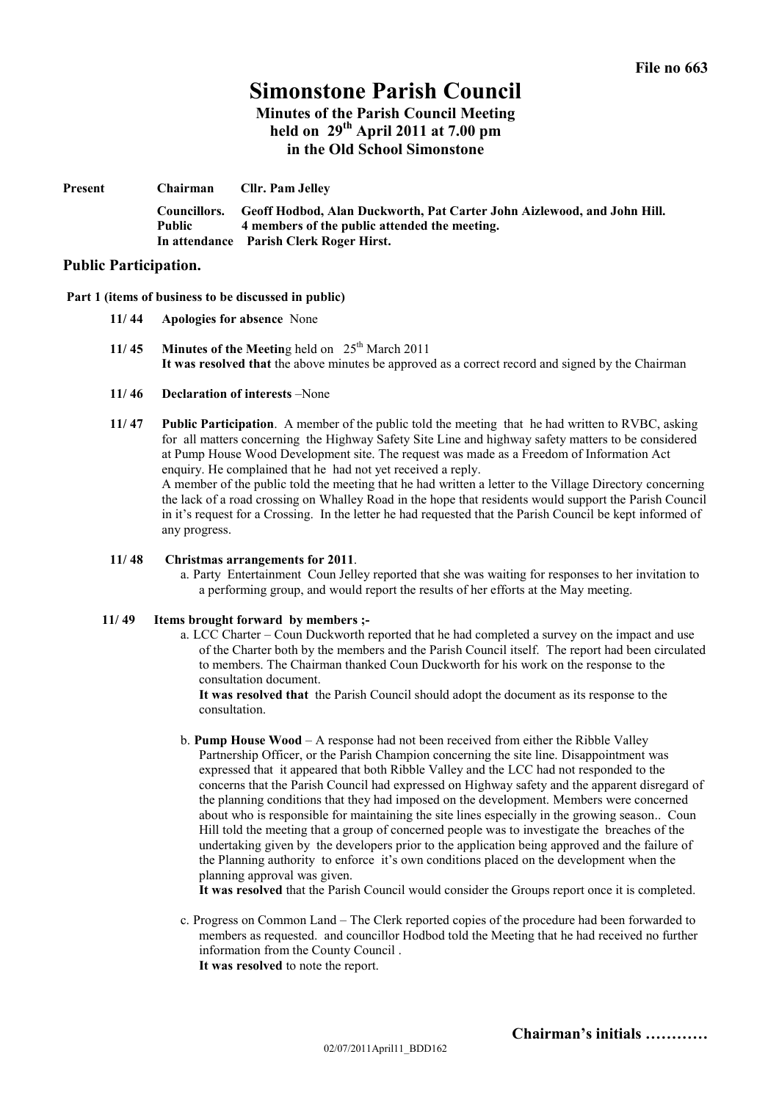# **Simonstone Parish Council Minutes of the Parish Council Meeting held on 29th April 2011 at 7.00 pm in the Old School Simonstone**

| Present | Chairman                      | Cllr. Pam Jelley                                                                                                                                                    |
|---------|-------------------------------|---------------------------------------------------------------------------------------------------------------------------------------------------------------------|
|         | Councillors.<br><b>Public</b> | Geoff Hodbod, Alan Duckworth, Pat Carter John Aizlewood, and John Hill.<br>4 members of the public attended the meeting.<br>In attendance Parish Clerk Roger Hirst. |

## **Public Participation.**

#### **Part 1 (items of business to be discussed in public)**

- **11/ 44 Apologies for absence** None
- **11/45 Minutes of the Meeting held on**  $25^{\text{th}}$  March 2011 **It was resolved that** the above minutes be approved as a correct record and signed by the Chairman
- **11/ 46 Declaration of interests** –None
- **11/ 47 Public Participation**. A member of the public told the meeting that he had written to RVBC, asking for all matters concerning the Highway Safety Site Line and highway safety matters to be considered at Pump House Wood Development site. The request was made as a Freedom of Information Act enquiry. He complained that he had not yet received a reply.

A member of the public told the meeting that he had written a letter to the Village Directory concerning the lack of a road crossing on Whalley Road in the hope that residents would support the Parish Council in it's request for a Crossing. In the letter he had requested that the Parish Council be kept informed of any progress.

### **11/ 48 Christmas arrangements for 2011**.

a. Party Entertainment Coun Jelley reported that she was waiting for responses to her invitation to a performing group, and would report the results of her efforts at the May meeting.

#### **11/ 49 Items brought forward by members ;-**

a. LCC Charter – Coun Duckworth reported that he had completed a survey on the impact and use of the Charter both by the members and the Parish Council itself. The report had been circulated to members. The Chairman thanked Coun Duckworth for his work on the response to the consultation document.

**It was resolved that** the Parish Council should adopt the document as its response to the consultation.

b. **Pump House Wood** – A response had not been received from either the Ribble Valley Partnership Officer, or the Parish Champion concerning the site line. Disappointment was expressed that it appeared that both Ribble Valley and the LCC had not responded to the concerns that the Parish Council had expressed on Highway safety and the apparent disregard of the planning conditions that they had imposed on the development. Members were concerned about who is responsible for maintaining the site lines especially in the growing season.. Coun Hill told the meeting that a group of concerned people was to investigate the breaches of the undertaking given by the developers prior to the application being approved and the failure of the Planning authority to enforce it's own conditions placed on the development when the planning approval was given.

**It was resolved** that the Parish Council would consider the Groups report once it is completed.

c. Progress on Common Land – The Clerk reported copies of the procedure had been forwarded to members as requested. and councillor Hodbod told the Meeting that he had received no further information from the County Council . **It was resolved** to note the report.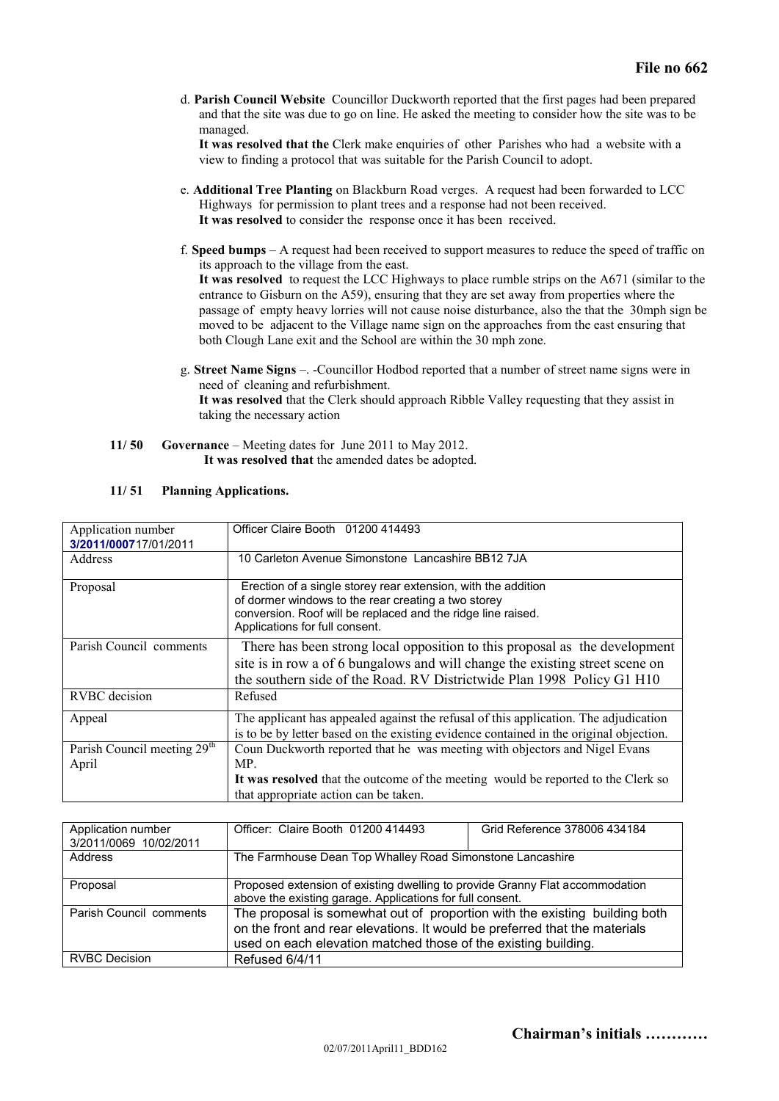d. **Parish Council Website** Councillor Duckworth reported that the first pages had been prepared and that the site was due to go on line. He asked the meeting to consider how the site was to be managed.

**It was resolved that the** Clerk make enquiries of other Parishes who had a website with a view to finding a protocol that was suitable for the Parish Council to adopt.

- e. **Additional Tree Planting** on Blackburn Road verges. A request had been forwarded to LCC Highways for permission to plant trees and a response had not been received. **It was resolved** to consider the response once it has been received.
- f. **Speed bumps** A request had been received to support measures to reduce the speed of traffic on its approach to the village from the east.

**It was resolved** to request the LCC Highways to place rumble strips on the A671 (similar to the entrance to Gisburn on the A59), ensuring that they are set away from properties where the passage of empty heavy lorries will not cause noise disturbance, also the that the 30mph sign be moved to be adjacent to the Village name sign on the approaches from the east ensuring that both Clough Lane exit and the School are within the 30 mph zone.

- g. **Street Name Signs** –.-Councillor Hodbod reported that a number of street name signs were in need of cleaning and refurbishment. **It was resolved** that the Clerk should approach Ribble Valley requesting that they assist in taking the necessary action
- **11/ 50 Governance** Meeting dates for June 2011 to May 2012. **It was resolved that** the amended dates be adopted.

| Application number<br>3/2011/000717/01/2011      | Officer Claire Booth 01200 414493                                                                                                                                                                                                    |
|--------------------------------------------------|--------------------------------------------------------------------------------------------------------------------------------------------------------------------------------------------------------------------------------------|
| Address                                          | 10 Carleton Avenue Simonstone Lancashire BB12 7JA                                                                                                                                                                                    |
| Proposal                                         | Erection of a single storey rear extension, with the addition<br>of dormer windows to the rear creating a two storey<br>conversion. Roof will be replaced and the ridge line raised.<br>Applications for full consent.               |
| Parish Council comments                          | There has been strong local opposition to this proposal as the development<br>site is in row a of 6 bungalows and will change the existing street scene on<br>the southern side of the Road. RV Districtwide Plan 1998 Policy G1 H10 |
| <b>RVBC</b> decision                             | Refused                                                                                                                                                                                                                              |
| Appeal                                           | The applicant has appealed against the refusal of this application. The adjudication<br>is to be by letter based on the existing evidence contained in the original objection.                                                       |
| Parish Council meeting 29 <sup>th</sup><br>April | Coun Duckworth reported that he was meeting with objectors and Nigel Evans<br>MP.<br>It was resolved that the outcome of the meeting would be reported to the Clerk so<br>that appropriate action can be taken.                      |

| 11/51 | <b>Planning Applications.</b> |
|-------|-------------------------------|
|       |                               |

| Application number<br>3/2011/0069 10/02/2011 | Officer: Claire Booth 01200 414493                                                                                                                                                                                         | Grid Reference 378006 434184 |  |
|----------------------------------------------|----------------------------------------------------------------------------------------------------------------------------------------------------------------------------------------------------------------------------|------------------------------|--|
| Address                                      | The Farmhouse Dean Top Whalley Road Simonstone Lancashire                                                                                                                                                                  |                              |  |
| Proposal                                     | Proposed extension of existing dwelling to provide Granny Flat accommodation<br>above the existing garage. Applications for full consent.                                                                                  |                              |  |
| Parish Council comments                      | The proposal is somewhat out of proportion with the existing building both<br>on the front and rear elevations. It would be preferred that the materials<br>used on each elevation matched those of the existing building. |                              |  |
| <b>RVBC Decision</b>                         | Refused 6/4/11                                                                                                                                                                                                             |                              |  |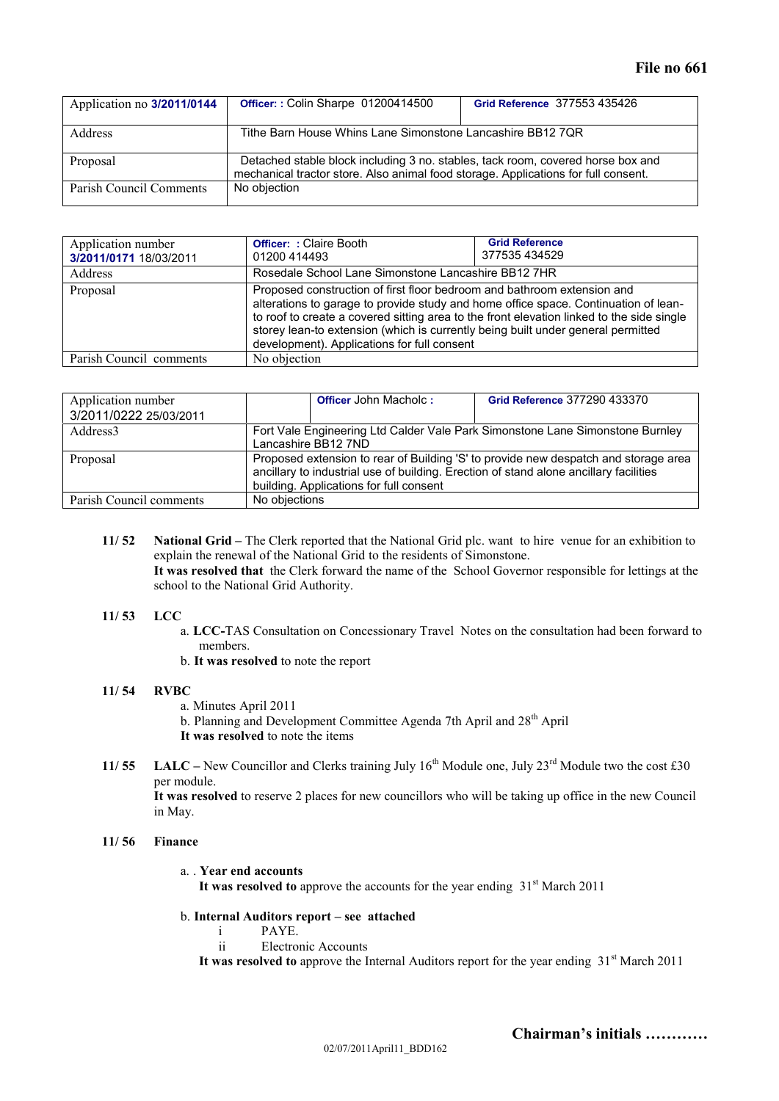| Application no 3/2011/0144 | Officer:: Colin Sharpe 01200414500                                                                                                                                    | Grid Reference 377553 435426 |  |
|----------------------------|-----------------------------------------------------------------------------------------------------------------------------------------------------------------------|------------------------------|--|
| <b>Address</b>             | Tithe Barn House Whins Lane Simonstone Lancashire BB12 7QR                                                                                                            |                              |  |
| Proposal                   | Detached stable block including 3 no. stables, tack room, covered horse box and<br>mechanical tractor store. Also animal food storage. Applications for full consent. |                              |  |
| Parish Council Comments    | No objection                                                                                                                                                          |                              |  |

| Application number<br>3/2011/0171 18/03/2011 | <b>Officer: : Claire Booth</b><br>01200 414493                                                                                                                                                                                                                                                                                                                                                 | <b>Grid Reference</b><br>377535434529 |  |
|----------------------------------------------|------------------------------------------------------------------------------------------------------------------------------------------------------------------------------------------------------------------------------------------------------------------------------------------------------------------------------------------------------------------------------------------------|---------------------------------------|--|
| Address                                      | Rosedale School Lane Simonstone Lancashire BB12 7HR                                                                                                                                                                                                                                                                                                                                            |                                       |  |
| Proposal                                     | Proposed construction of first floor bedroom and bathroom extension and<br>alterations to garage to provide study and home office space. Continuation of lean-<br>to roof to create a covered sitting area to the front elevation linked to the side single<br>storey lean-to extension (which is currently being built under general permitted<br>development). Applications for full consent |                                       |  |
| Parish Council comments                      | No objection                                                                                                                                                                                                                                                                                                                                                                                   |                                       |  |

| Application number<br>3/2011/0222 25/03/2011 |                                                                                                                                                                                                                         | <b>Officer John Macholc:</b> | Grid Reference 377290 433370 |
|----------------------------------------------|-------------------------------------------------------------------------------------------------------------------------------------------------------------------------------------------------------------------------|------------------------------|------------------------------|
| Address <sub>3</sub>                         | Fort Vale Engineering Ltd Calder Vale Park Simonstone Lane Simonstone Burnley<br>Lancashire BB12 7ND                                                                                                                    |                              |                              |
| Proposal                                     | Proposed extension to rear of Building 'S' to provide new despatch and storage area<br>ancillary to industrial use of building. Erection of stand alone ancillary facilities<br>building. Applications for full consent |                              |                              |
| Parish Council comments                      | No objections                                                                                                                                                                                                           |                              |                              |

**11/ 52 National Grid –** The Clerk reported that the National Grid plc. want to hire venue for an exhibition to explain the renewal of the National Grid to the residents of Simonstone. **It was resolved that** the Clerk forward the name of the School Governor responsible for lettings at the school to the National Grid Authority.

### **11/ 53 LCC**

- a. **LCC-**TAS Consultation on Concessionary Travel Notes on the consultation had been forward to members.
- b. **It was resolved** to note the report

### **11/ 54 RVBC**

- a. Minutes April 2011
- b. Planning and Development Committee Agenda 7th April and 28<sup>th</sup> April
- **It was resolved** to note the items
- **11/ 55 LALC** New Councillor and Clerks training July  $16^{th}$  Module one, July  $23^{rd}$  Module two the cost £30 per module.

**It was resolved** to reserve 2 places for new councillors who will be taking up office in the new Council in May.

#### **11/ 56 Finance**

a. . **Year end accounts** It was resolved to approve the accounts for the year ending 31<sup>st</sup> March 2011

## b. **Internal Auditors report – see attached**

- i PAYE.
- ii Electronic Accounts

It was resolved to approve the Internal Auditors report for the year ending 31<sup>st</sup> March 2011